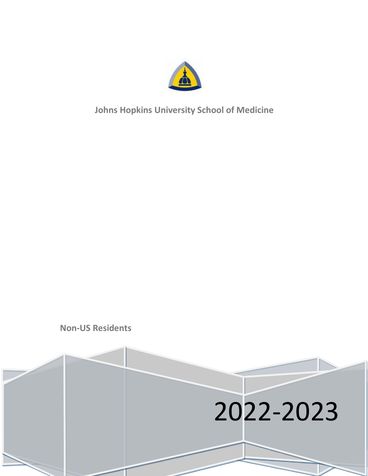

**Johns Hopkins University School of Medicine**

**Non-US Residents**

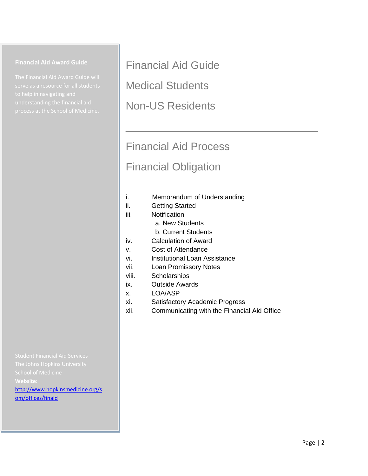#### **Financial Aid Award Guide**

Financial Aid Guide

Medical Students

Non-US Residents

# Financial Aid Process Financial Obligation

\_\_\_\_\_\_\_\_\_\_\_\_\_\_\_\_\_\_\_\_\_\_\_\_\_\_\_\_\_\_\_\_

- i. Memorandum of Understanding
- ii. Getting Started
- iii. Notification
	- a. New Students
		- b. Current Students
- iv. Calculation of Award
- v. Cost of Attendance
- vi. Institutional Loan Assistance
- vii. Loan Promissory Notes
- viii. Scholarships
- ix. Outside Awards
- x. LOA/ASP
- xi. Satisfactory Academic Progress
- xii. Communicating with the Financial Aid Office

**Website:** [http://www.hopkinsmedicine.org/s](http://www.hopkinsmedicine.org/som/offices/finaid)

[om/offices/finaid](http://www.hopkinsmedicine.org/som/offices/finaid)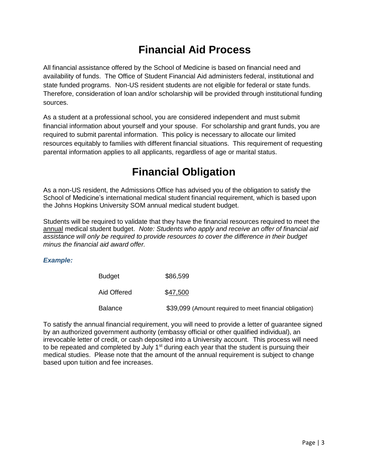#### **Financial Aid Process**

All financial assistance offered by the School of Medicine is based on financial need and availability of funds. The Office of Student Financial Aid administers federal, institutional and state funded programs. Non-US resident students are not eligible for federal or state funds. Therefore, consideration of loan and/or scholarship will be provided through institutional funding sources.

As a student at a professional school, you are considered independent and must submit financial information about yourself and your spouse. For scholarship and grant funds, you are required to submit parental information. This policy is necessary to allocate our limited resources equitably to families with different financial situations. This requirement of requesting parental information applies to all applicants, regardless of age or marital status.

#### **Financial Obligation**

As a non-US resident, the Admissions Office has advised you of the obligation to satisfy the School of Medicine's international medical student financial requirement, which is based upon the Johns Hopkins University SOM annual medical student budget.

Students will be required to validate that they have the financial resources required to meet the annual medical student budget. *Note: Students who apply and receive an offer of financial aid assistance will only be required to provide resources to cover the difference in their budget minus the financial aid award offer.*

#### *Example:*

| <b>Budget</b>  | \$86,599                                                |
|----------------|---------------------------------------------------------|
| Aid Offered    | \$47,500                                                |
| <b>Balance</b> | \$39,099 (Amount required to meet financial obligation) |

To satisfy the annual financial requirement, you will need to provide a letter of guarantee signed by an authorized government authority (embassy official or other qualified individual), an irrevocable letter of credit, or cash deposited into a University account. This process will need to be repeated and completed by July  $1<sup>st</sup>$  during each year that the student is pursuing their medical studies. Please note that the amount of the annual requirement is subject to change based upon tuition and fee increases.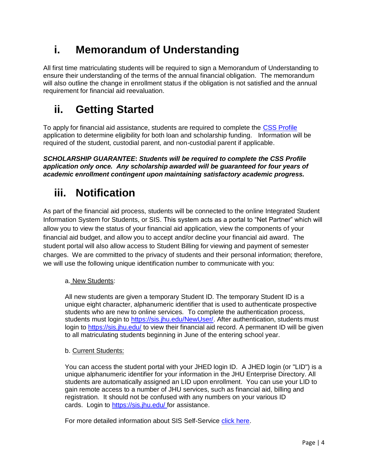### **i. Memorandum of Understanding**

All first time matriculating students will be required to sign a Memorandum of Understanding to ensure their understanding of the terms of the annual financial obligation. The memorandum will also outline the change in enrollment status if the obligation is not satisfied and the annual requirement for financial aid reevaluation.

## **ii. Getting Started**

To apply for financial aid assistance, students are required to complete the [CSS Profile](https://student.collegeboard.org/css-financial-aid-profile) application to determine eligibility for both loan and scholarship funding. Information will be required of the student, custodial parent, and non-custodial parent if applicable.

*SCHOLARSHIP GUARANTEE***:** *Students will be required to complete the CSS Profile application only once. Any scholarship awarded will be guaranteed for four years of academic enrollment contingent upon maintaining satisfactory academic progress.*

### **iii. Notification**

As part of the financial aid process, students will be connected to the online Integrated Student Information System for Students, or SIS. This system acts as a portal to "Net Partner" which will allow you to view the status of your financial aid application, view the components of your financial aid budget, and allow you to accept and/or decline your financial aid award. The student portal will also allow access to Student Billing for viewing and payment of semester charges. We are committed to the privacy of students and their personal information; therefore, we will use the following unique identification number to communicate with you:

#### a. New Students:

All new students are given a temporary Student ID. The temporary Student ID is a unique eight character, alphanumeric identifier that is used to authenticate prospective students who are new to online services. To complete the authentication process, students must login to [https://sis.jhu.edu/NewUser/.](https://sis.jhu.edu/NewUser/) After authentication, students must login to <https://sis.jhu.edu/> to view their financial aid record. A permanent ID will be given to all matriculating students beginning in June of the entering school year.

#### b. Current Students:

You can access the student portal with your JHED login ID. A JHED login (or "LID") is a unique alphanumeric identifier for your information in the JHU Enterprise Directory. All students are automatically assigned an LID upon enrollment. You can use your LID to gain remote access to a number of JHU services, such as financial aid, billing and registration. It should not be confused with any numbers on your various ID cards. Login to<https://sis.jhu.edu/> for assistance.

For more detailed information about SIS Self-Service [click here.](https://www.hopkinsmedicine.org/som/offices/finaid/sis.html)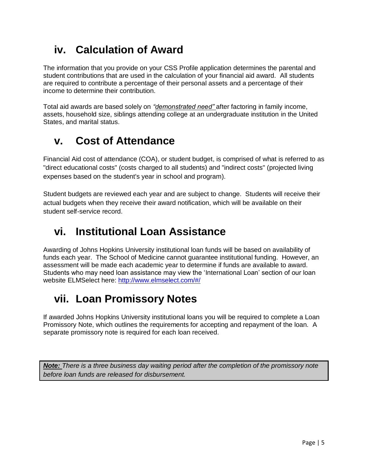### **iv. Calculation of Award**

The information that you provide on your CSS Profile application determines the parental and student contributions that are used in the calculation of your financial aid award. All students are required to contribute a percentage of their personal assets and a percentage of their income to determine their contribution.

Total aid awards are based solely on *"demonstrated need"* after factoring in family income, assets, household size, siblings attending college at an undergraduate institution in the United States, and marital status.

#### **v. Cost of Attendance**

Financial Aid cost of attendance (COA), or student budget, is comprised of what is referred to as "direct educational costs" (costs charged to all students) and "indirect costs" (projected living expenses based on the student's year in school and program).

Student budgets are reviewed each year and are subject to change. Students will receive their actual budgets when they receive their award notification, which will be available on their student self-service record.

### **vi. Institutional Loan Assistance**

Awarding of Johns Hopkins University institutional loan funds will be based on availability of funds each year. The School of Medicine cannot guarantee institutional funding. However, an assessment will be made each academic year to determine if funds are available to award. Students who may need loan assistance may view the 'International Loan' section of our loan website ELMSelect here:<http://www.elmselect.com/#/>

## **vii. Loan Promissory Notes**

If awarded Johns Hopkins University institutional loans you will be required to complete a Loan Promissory Note, which outlines the requirements for accepting and repayment of the loan. A separate promissory note is required for each loan received.

*Note: There is a three business day waiting period after the completion of the promissory note before loan funds are released for disbursement.*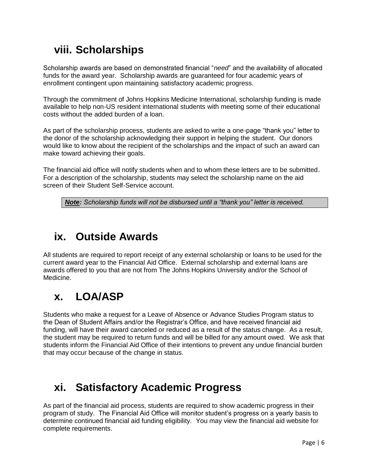### **viii. Scholarships**

Scholarship awards are based on demonstrated financial "*need*" and the availability of allocated funds for the award year. Scholarship awards are guaranteed for four academic years of enrollment contingent upon maintaining satisfactory academic progress.

Through the commitment of Johns Hopkins Medicine International, scholarship funding is made available to help non-US resident international students with meeting some of their educational costs without the added burden of a loan.

As part of the scholarship process, students are asked to write a one-page "thank you" letter to the donor of the scholarship acknowledging their support in helping the student. Our donors would like to know about the recipient of the scholarships and the impact of such an award can make toward achieving their goals.

The financial aid office will notify students when and to whom these letters are to be submitted. For a description of the scholarship, students may select the scholarship name on the aid screen of their Student Self-Service account.

*Note: Scholarship funds will not be disbursed until a "thank you" letter is received.*

#### **ix. Outside Awards**

All students are required to report receipt of any external scholarship or loans to be used for the current award year to the Financial Aid Office. External scholarship and external loans are awards offered to you that are not from The Johns Hopkins University and/or the School of Medicine.

#### **x. LOA/ASP**

Students who make a request for a Leave of Absence or Advance Studies Program status to the Dean of Student Affairs and/or the Registrar's Office, and have received financial aid funding, will have their award canceled or reduced as a result of the status change. As a result, the student may be required to return funds and will be billed for any amount owed. We ask that students inform the Financial Aid Office of their intentions to prevent any undue financial burden that may occur because of the change in status.

#### **xi. Satisfactory Academic Progress**

As part of the financial aid process, students are required to show academic progress in their program of study. The Financial Aid Office will monitor student's progress on a yearly basis to determine continued financial aid funding eligibility. You may view the financial aid website for complete requirements.